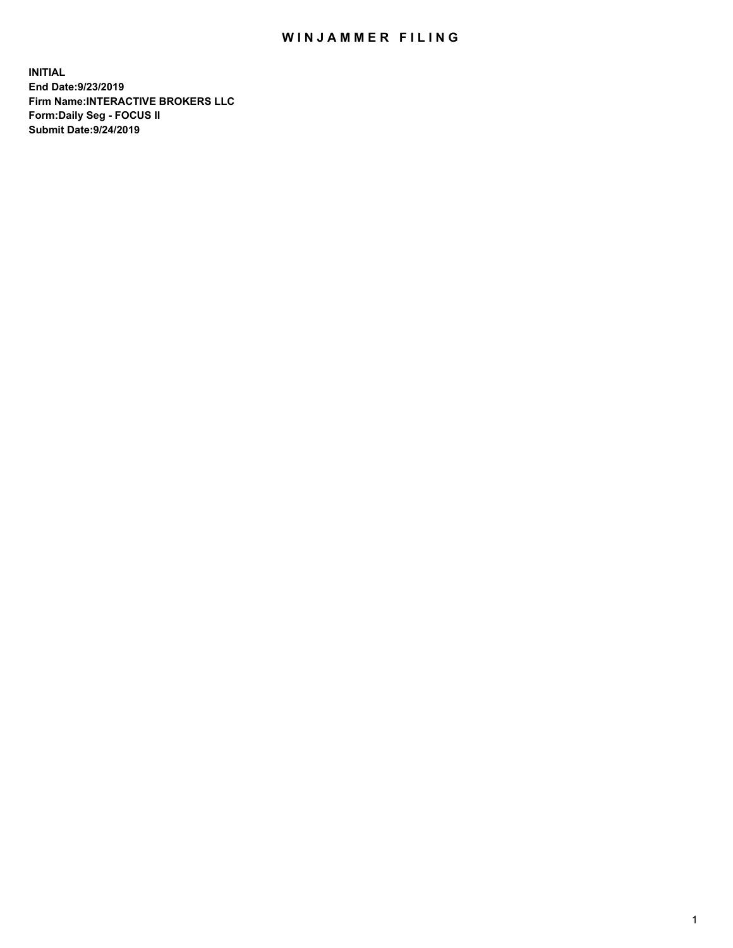## WIN JAMMER FILING

**INITIAL End Date:9/23/2019 Firm Name:INTERACTIVE BROKERS LLC Form:Daily Seg - FOCUS II Submit Date:9/24/2019**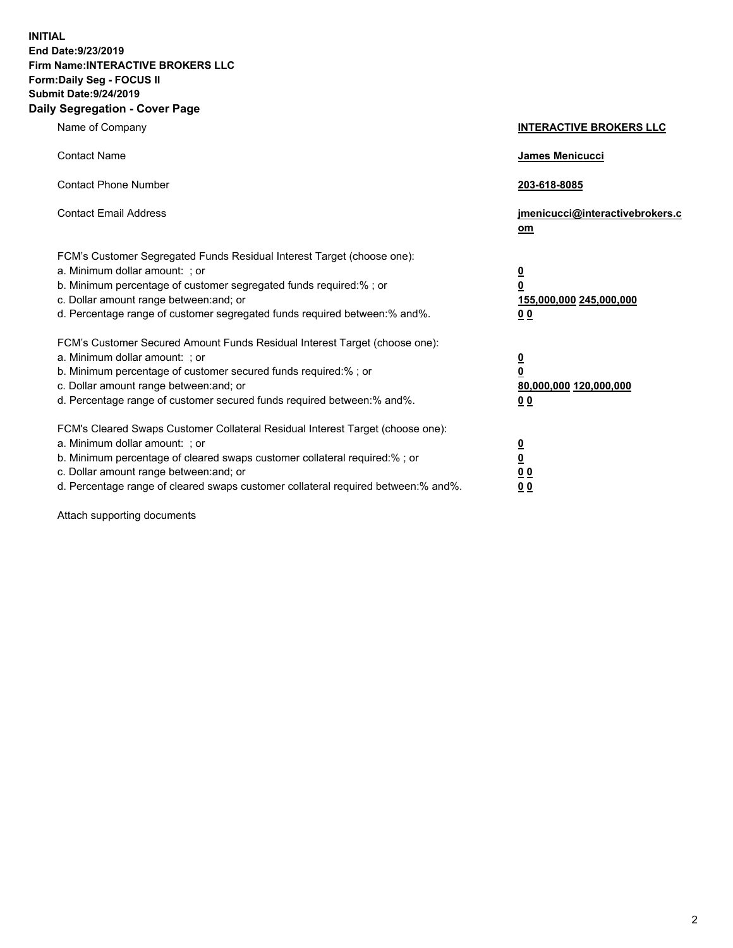**INITIAL End Date:9/23/2019 Firm Name:INTERACTIVE BROKERS LLC Form:Daily Seg - FOCUS II Submit Date:9/24/2019 Daily Segregation - Cover Page**

| Name of Company                                                                                                                                                                                                                                                                                                                | <b>INTERACTIVE BROKERS LLC</b>                                                                           |
|--------------------------------------------------------------------------------------------------------------------------------------------------------------------------------------------------------------------------------------------------------------------------------------------------------------------------------|----------------------------------------------------------------------------------------------------------|
| <b>Contact Name</b>                                                                                                                                                                                                                                                                                                            | James Menicucci                                                                                          |
| <b>Contact Phone Number</b>                                                                                                                                                                                                                                                                                                    | 203-618-8085                                                                                             |
| <b>Contact Email Address</b>                                                                                                                                                                                                                                                                                                   | jmenicucci@interactivebrokers.c<br>om                                                                    |
| FCM's Customer Segregated Funds Residual Interest Target (choose one):<br>a. Minimum dollar amount: ; or<br>b. Minimum percentage of customer segregated funds required:% ; or<br>c. Dollar amount range between: and; or<br>d. Percentage range of customer segregated funds required between:% and%.                         | <u>0</u><br>$\overline{\mathbf{0}}$<br>155,000,000 245,000,000<br>0 <sub>0</sub>                         |
| FCM's Customer Secured Amount Funds Residual Interest Target (choose one):<br>a. Minimum dollar amount: ; or<br>b. Minimum percentage of customer secured funds required:%; or<br>c. Dollar amount range between: and; or<br>d. Percentage range of customer secured funds required between:% and%.                            | <u>0</u><br>$\overline{\mathbf{0}}$<br>80,000,000 120,000,000<br><u>00</u>                               |
| FCM's Cleared Swaps Customer Collateral Residual Interest Target (choose one):<br>a. Minimum dollar amount: ; or<br>b. Minimum percentage of cleared swaps customer collateral required:% ; or<br>c. Dollar amount range between: and; or<br>d. Percentage range of cleared swaps customer collateral required between:% and%. | $\overline{\mathbf{0}}$<br>$\underline{\mathbf{0}}$<br>$\underline{0}$ $\underline{0}$<br>0 <sub>0</sub> |

Attach supporting documents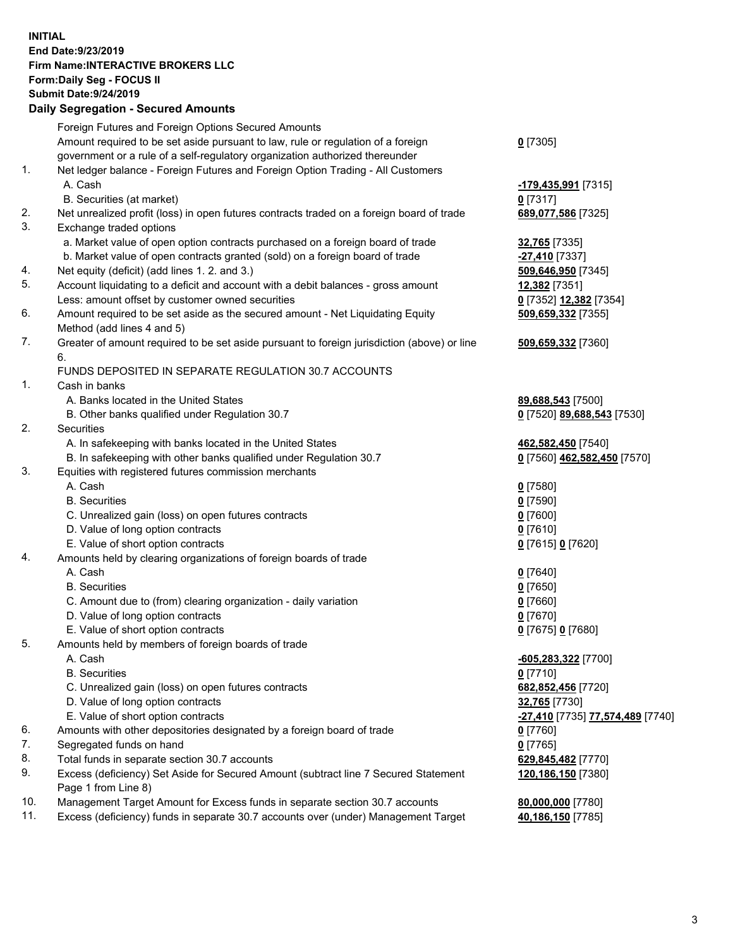## **INITIAL End Date:9/23/2019 Firm Name:INTERACTIVE BROKERS LLC Form:Daily Seg - FOCUS II Submit Date:9/24/2019 Daily Segregation - Secured Amounts**

|     | Daily Segregation - Secured Amounts                                                                                         |                                  |
|-----|-----------------------------------------------------------------------------------------------------------------------------|----------------------------------|
|     | Foreign Futures and Foreign Options Secured Amounts                                                                         |                                  |
|     | Amount required to be set aside pursuant to law, rule or regulation of a foreign                                            | $0$ [7305]                       |
|     | government or a rule of a self-regulatory organization authorized thereunder                                                |                                  |
| 1.  | Net ledger balance - Foreign Futures and Foreign Option Trading - All Customers                                             |                                  |
|     | A. Cash                                                                                                                     | -179,435,991 [7315]              |
|     | B. Securities (at market)                                                                                                   | $0$ [7317]                       |
| 2.  | Net unrealized profit (loss) in open futures contracts traded on a foreign board of trade                                   | 689,077,586 [7325]               |
| 3.  | Exchange traded options                                                                                                     |                                  |
|     | a. Market value of open option contracts purchased on a foreign board of trade                                              | <b>32,765</b> [7335]             |
|     | b. Market value of open contracts granted (sold) on a foreign board of trade                                                | $-27,410$ [7337]                 |
| 4.  | Net equity (deficit) (add lines 1. 2. and 3.)                                                                               | 509,646,950 [7345]               |
| 5.  | Account liquidating to a deficit and account with a debit balances - gross amount                                           | 12,382 [7351]                    |
|     | Less: amount offset by customer owned securities                                                                            | 0 [7352] 12,382 [7354]           |
| 6.  | Amount required to be set aside as the secured amount - Net Liquidating Equity                                              | 509,659,332 [7355]               |
|     | Method (add lines 4 and 5)                                                                                                  |                                  |
| 7.  | Greater of amount required to be set aside pursuant to foreign jurisdiction (above) or line                                 | 509,659,332 [7360]               |
|     | 6.                                                                                                                          |                                  |
|     | FUNDS DEPOSITED IN SEPARATE REGULATION 30.7 ACCOUNTS                                                                        |                                  |
| 1.  | Cash in banks                                                                                                               |                                  |
|     | A. Banks located in the United States                                                                                       | 89,688,543 [7500]                |
| 2.  | B. Other banks qualified under Regulation 30.7                                                                              | 0 [7520] 89,688,543 [7530]       |
|     | Securities                                                                                                                  |                                  |
|     | A. In safekeeping with banks located in the United States                                                                   | 462,582,450 [7540]               |
| 3.  | B. In safekeeping with other banks qualified under Regulation 30.7<br>Equities with registered futures commission merchants | 0 [7560] 462,582,450 [7570]      |
|     | A. Cash                                                                                                                     | $0$ [7580]                       |
|     | <b>B.</b> Securities                                                                                                        | $0$ [7590]                       |
|     | C. Unrealized gain (loss) on open futures contracts                                                                         | $0$ [7600]                       |
|     | D. Value of long option contracts                                                                                           | $0$ [7610]                       |
|     | E. Value of short option contracts                                                                                          | 0 [7615] 0 [7620]                |
| 4.  | Amounts held by clearing organizations of foreign boards of trade                                                           |                                  |
|     | A. Cash                                                                                                                     | $0$ [7640]                       |
|     | <b>B.</b> Securities                                                                                                        | $0$ [7650]                       |
|     | C. Amount due to (from) clearing organization - daily variation                                                             | $0$ [7660]                       |
|     | D. Value of long option contracts                                                                                           | $0$ [7670]                       |
|     | E. Value of short option contracts                                                                                          | 0 [7675] 0 [7680]                |
| 5.  | Amounts held by members of foreign boards of trade                                                                          |                                  |
|     | A. Cash                                                                                                                     | -605,283,322 [7700]              |
|     | <b>B.</b> Securities                                                                                                        | $0$ [7710]                       |
|     | C. Unrealized gain (loss) on open futures contracts                                                                         | 682,852,456 [7720]               |
|     | D. Value of long option contracts                                                                                           | 32,765 [7730]                    |
|     | E. Value of short option contracts                                                                                          | -27,410 [7735] 77,574,489 [7740] |
| 6.  | Amounts with other depositories designated by a foreign board of trade                                                      | $0$ [7760]                       |
| 7.  | Segregated funds on hand                                                                                                    | $0$ [7765]                       |
| 8.  | Total funds in separate section 30.7 accounts                                                                               | 629,845,482 [7770]               |
| 9.  | Excess (deficiency) Set Aside for Secured Amount (subtract line 7 Secured Statement                                         | 120,186,150 [7380]               |
|     | Page 1 from Line 8)                                                                                                         |                                  |
| 10. | Management Target Amount for Excess funds in separate section 30.7 accounts                                                 | 80,000,000 [7780]                |
| 11. | Excess (deficiency) funds in separate 30.7 accounts over (under) Management Target                                          | 40,186,150 [7785]                |
|     |                                                                                                                             |                                  |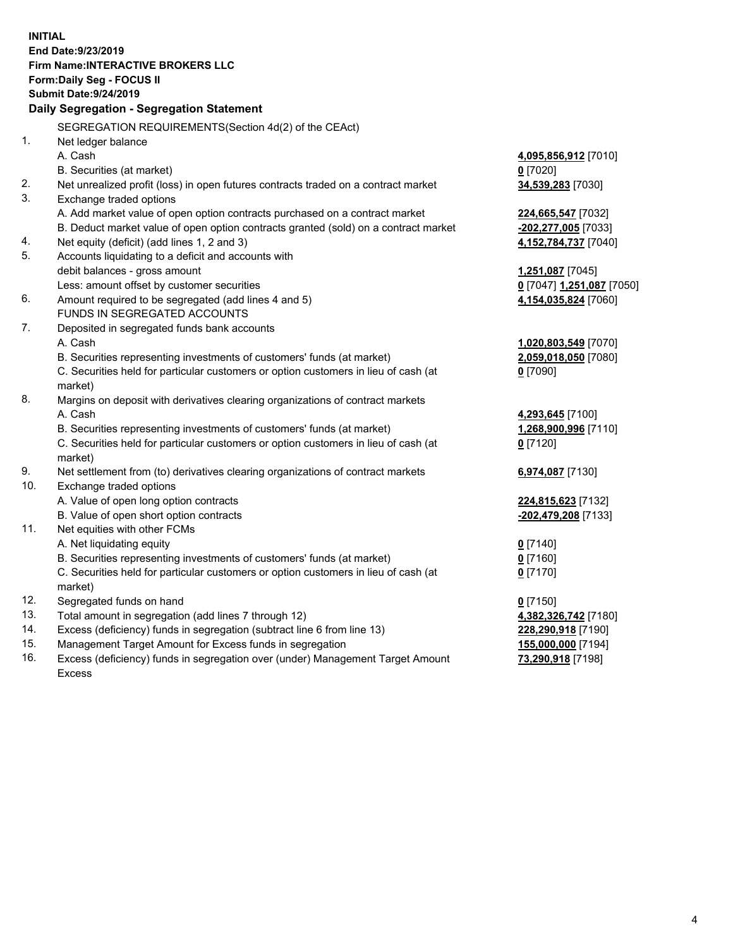**INITIAL End Date:9/23/2019 Firm Name:INTERACTIVE BROKERS LLC Form:Daily Seg - FOCUS II Submit Date:9/24/2019 Daily Segregation - Segregation Statement** SEGREGATION REQUIREMENTS(Section 4d(2) of the CEAct) 1. Net ledger balance A. Cash **4,095,856,912** [7010] B. Securities (at market) **0** [7020] 2. Net unrealized profit (loss) in open futures contracts traded on a contract market **34,539,283** [7030] 3. Exchange traded options A. Add market value of open option contracts purchased on a contract market **224,665,547** [7032] B. Deduct market value of open option contracts granted (sold) on a contract market **-202,277,005** [7033] 4. Net equity (deficit) (add lines 1, 2 and 3) **4,152,784,737** [7040] 5. Accounts liquidating to a deficit and accounts with debit balances - gross amount **1,251,087** [7045] Less: amount offset by customer securities **0** [7047] **1,251,087** [7050] 6. Amount required to be segregated (add lines 4 and 5) **4,154,035,824** [7060] FUNDS IN SEGREGATED ACCOUNTS 7. Deposited in segregated funds bank accounts A. Cash **1,020,803,549** [7070] B. Securities representing investments of customers' funds (at market) **2,059,018,050** [7080] C. Securities held for particular customers or option customers in lieu of cash (at market) **0** [7090] 8. Margins on deposit with derivatives clearing organizations of contract markets A. Cash **4,293,645** [7100] B. Securities representing investments of customers' funds (at market) **1,268,900,996** [7110] C. Securities held for particular customers or option customers in lieu of cash (at market) **0** [7120] 9. Net settlement from (to) derivatives clearing organizations of contract markets **6,974,087** [7130] 10. Exchange traded options A. Value of open long option contracts **224,815,623** [7132] B. Value of open short option contracts **-202,479,208** [7133] 11. Net equities with other FCMs A. Net liquidating equity **0** [7140] B. Securities representing investments of customers' funds (at market) **0** [7160] C. Securities held for particular customers or option customers in lieu of cash (at market) **0** [7170] 12. Segregated funds on hand **0** [7150] 13. Total amount in segregation (add lines 7 through 12) **4,382,326,742** [7180] 14. Excess (deficiency) funds in segregation (subtract line 6 from line 13) **228,290,918** [7190] 15. Management Target Amount for Excess funds in segregation **155,000,000** [7194]

16. Excess (deficiency) funds in segregation over (under) Management Target Amount Excess

**73,290,918** [7198]